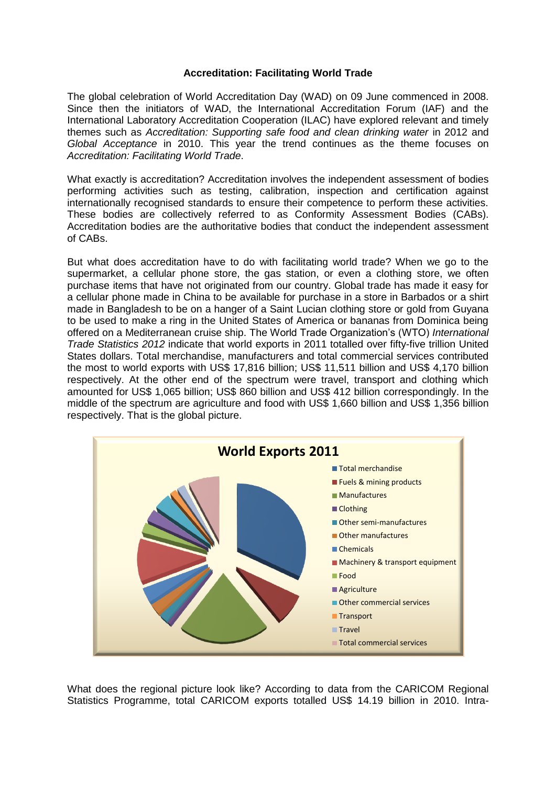## **Accreditation: Facilitating World Trade**

The global celebration of World Accreditation Day (WAD) on 09 June commenced in 2008. Since then the initiators of WAD, the International Accreditation Forum (IAF) and the International Laboratory Accreditation Cooperation (ILAC) have explored relevant and timely themes such as *Accreditation: Supporting safe food and clean drinking water* in 2012 and *Global Acceptance* in 2010. This year the trend continues as the theme focuses on *Accreditation: Facilitating World Trade*.

What exactly is accreditation? Accreditation involves the independent assessment of bodies performing activities such as testing, calibration, inspection and certification against internationally recognised standards to ensure their competence to perform these activities. These bodies are collectively referred to as Conformity Assessment Bodies (CABs). Accreditation bodies are the authoritative bodies that conduct the independent assessment of CABs.

But what does accreditation have to do with facilitating world trade? When we go to the supermarket, a cellular phone store, the gas station, or even a clothing store, we often purchase items that have not originated from our country. Global trade has made it easy for a cellular phone made in China to be available for purchase in a store in Barbados or a shirt made in Bangladesh to be on a hanger of a Saint Lucian clothing store or gold from Guyana to be used to make a ring in the United States of America or bananas from Dominica being offered on a Mediterranean cruise ship. The World Trade Organization's (WTO) *International Trade Statistics 2012* indicate that world exports in 2011 totalled over fifty-five trillion United States dollars. Total merchandise, manufacturers and total commercial services contributed the most to world exports with US\$ 17,816 billion; US\$ 11,511 billion and US\$ 4,170 billion respectively. At the other end of the spectrum were travel, transport and clothing which amounted for US\$ 1,065 billion; US\$ 860 billion and US\$ 412 billion correspondingly. In the middle of the spectrum are agriculture and food with US\$ 1,660 billion and US\$ 1,356 billion respectively. That is the global picture.



What does the regional picture look like? According to data from the CARICOM Regional Statistics Programme, total CARICOM exports totalled US\$ 14.19 billion in 2010. Intra-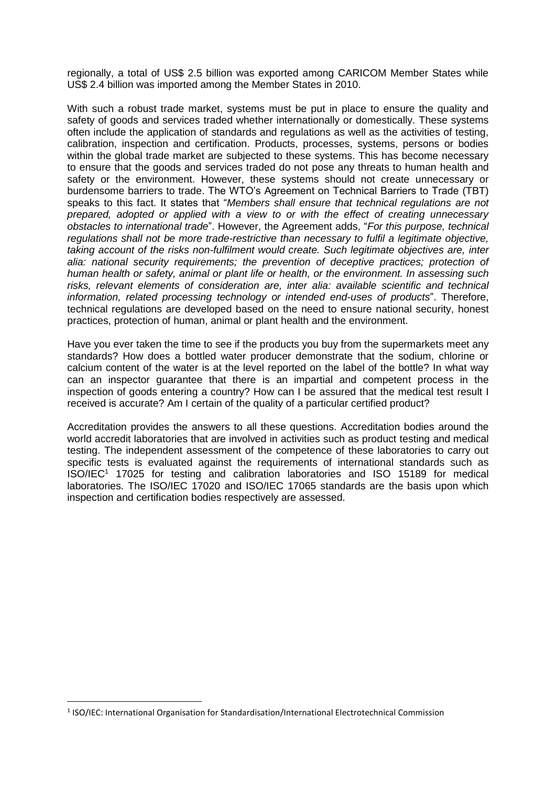regionally, a total of US\$ 2.5 billion was exported among CARICOM Member States while US\$ 2.4 billion was imported among the Member States in 2010.

With such a robust trade market, systems must be put in place to ensure the quality and safety of goods and services traded whether internationally or domestically. These systems often include the application of standards and regulations as well as the activities of testing, calibration, inspection and certification. Products, processes, systems, persons or bodies within the global trade market are subjected to these systems. This has become necessary to ensure that the goods and services traded do not pose any threats to human health and safety or the environment. However, these systems should not create unnecessary or burdensome barriers to trade. The WTO's Agreement on Technical Barriers to Trade (TBT) speaks to this fact. It states that "*Members shall ensure that technical regulations are not prepared, adopted or applied with a view to or with the effect of creating unnecessary obstacles to international trade*". However, the Agreement adds, "*For this purpose, technical regulations shall not be more trade-restrictive than necessary to fulfil a legitimate objective, taking account of the risks non-fulfilment would create. Such legitimate objectives are, inter alia: national security requirements; the prevention of deceptive practices; protection of human health or safety, animal or plant life or health, or the environment. In assessing such risks, relevant elements of consideration are, inter alia: available scientific and technical information, related processing technology or intended end-uses of products*". Therefore, technical regulations are developed based on the need to ensure national security, honest practices, protection of human, animal or plant health and the environment.

Have you ever taken the time to see if the products you buy from the supermarkets meet any standards? How does a bottled water producer demonstrate that the sodium, chlorine or calcium content of the water is at the level reported on the label of the bottle? In what way can an inspector guarantee that there is an impartial and competent process in the inspection of goods entering a country? How can I be assured that the medical test result I received is accurate? Am I certain of the quality of a particular certified product?

Accreditation provides the answers to all these questions. Accreditation bodies around the world accredit laboratories that are involved in activities such as product testing and medical testing. The independent assessment of the competence of these laboratories to carry out specific tests is evaluated against the requirements of international standards such as ISO/IEC<sup>1</sup> 17025 for testing and calibration laboratories and ISO 15189 for medical laboratories. The ISO/IEC 17020 and ISO/IEC 17065 standards are the basis upon which inspection and certification bodies respectively are assessed.

 $\overline{\phantom{a}}$ 

<sup>&</sup>lt;sup>1</sup> ISO/IEC: International Organisation for Standardisation/International Electrotechnical Commission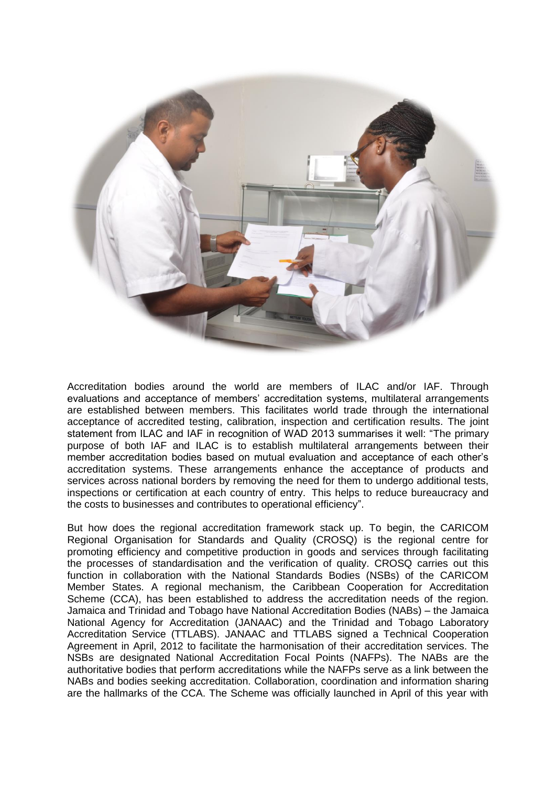

Accreditation bodies around the world are members of ILAC and/or IAF. Through evaluations and acceptance of members' accreditation systems, multilateral arrangements are established between members. This facilitates world trade through the international acceptance of accredited testing, calibration, inspection and certification results. The joint statement from ILAC and IAF in recognition of WAD 2013 summarises it well: "The primary purpose of both IAF and ILAC is to establish multilateral arrangements between their member accreditation bodies based on mutual evaluation and acceptance of each other's accreditation systems. These arrangements enhance the acceptance of products and services across national borders by removing the need for them to undergo additional tests, inspections or certification at each country of entry. This helps to reduce bureaucracy and the costs to businesses and contributes to operational efficiency".

But how does the regional accreditation framework stack up. To begin, the CARICOM Regional Organisation for Standards and Quality (CROSQ) is the regional centre for promoting efficiency and competitive production in goods and services through facilitating the processes of standardisation and the verification of quality. CROSQ carries out this function in collaboration with the National Standards Bodies (NSBs) of the CARICOM Member States. A regional mechanism, the Caribbean Cooperation for Accreditation Scheme (CCA), has been established to address the accreditation needs of the region. Jamaica and Trinidad and Tobago have National Accreditation Bodies (NABs) – the Jamaica National Agency for Accreditation (JANAAC) and the Trinidad and Tobago Laboratory Accreditation Service (TTLABS). JANAAC and TTLABS signed a Technical Cooperation Agreement in April, 2012 to facilitate the harmonisation of their accreditation services. The NSBs are designated National Accreditation Focal Points (NAFPs). The NABs are the authoritative bodies that perform accreditations while the NAFPs serve as a link between the NABs and bodies seeking accreditation. Collaboration, coordination and information sharing are the hallmarks of the CCA. The Scheme was officially launched in April of this year with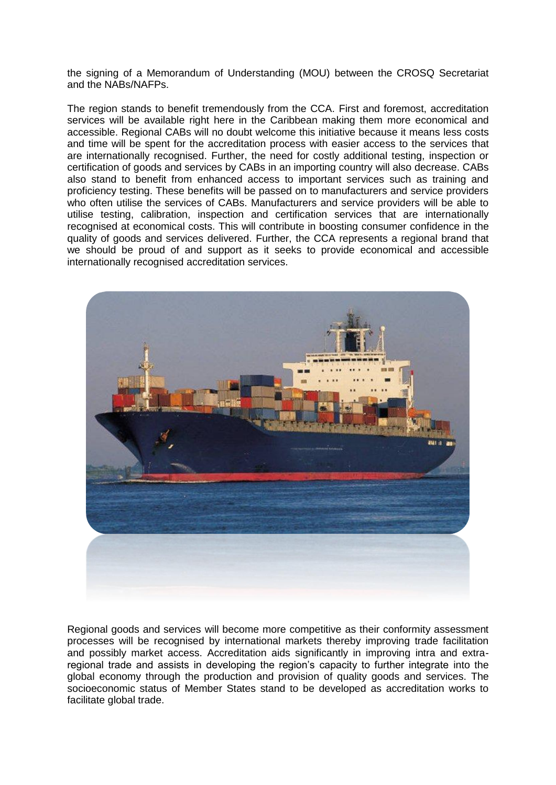the signing of a Memorandum of Understanding (MOU) between the CROSQ Secretariat and the NABs/NAFPs.

The region stands to benefit tremendously from the CCA. First and foremost, accreditation services will be available right here in the Caribbean making them more economical and accessible. Regional CABs will no doubt welcome this initiative because it means less costs and time will be spent for the accreditation process with easier access to the services that are internationally recognised. Further, the need for costly additional testing, inspection or certification of goods and services by CABs in an importing country will also decrease. CABs also stand to benefit from enhanced access to important services such as training and proficiency testing. These benefits will be passed on to manufacturers and service providers who often utilise the services of CABs. Manufacturers and service providers will be able to utilise testing, calibration, inspection and certification services that are internationally recognised at economical costs. This will contribute in boosting consumer confidence in the quality of goods and services delivered. Further, the CCA represents a regional brand that we should be proud of and support as it seeks to provide economical and accessible internationally recognised accreditation services.



Regional goods and services will become more competitive as their conformity assessment processes will be recognised by international markets thereby improving trade facilitation and possibly market access. Accreditation aids significantly in improving intra and extraregional trade and assists in developing the region's capacity to further integrate into the global economy through the production and provision of quality goods and services. The socioeconomic status of Member States stand to be developed as accreditation works to facilitate global trade.